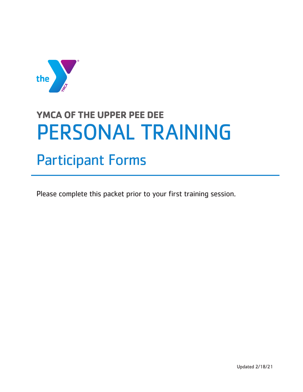

# **YMCA OF THE UPPER PEE DEE**  PERSONAL TRAINING

## Participant Forms

Please complete this packet prior to your first training session.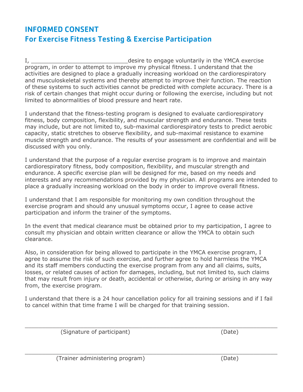## INFORMED CONSENT For Exercise Fitness Testing & Exercise Participation

I, **I** and the VMCA exercise in the VMCA exercise program, in order to attempt to improve my physical fitness. I understand that the activities are designed to place a gradually increasing workload on the cardiorespiratory and musculoskeletal systems and thereby attempt to improve their function. The reaction of these systems to such activities cannot be predicted with complete accuracy. There is a risk of certain changes that might occur during or following the exercise, including but not limited to abnormalities of blood pressure and heart rate.

I understand that the fitness-testing program is designed to evaluate cardiorespiratory fitness, body composition, flexibility, and muscular strength and endurance. These tests may include, but are not limited to, sub-maximal cardiorespiratory tests to predict aerobic capacity, static stretches to observe flexibility, and sub-maximal resistance to examine muscle strength and endurance. The results of your assessment are confidential and will be discussed with you only.

I understand that the purpose of a regular exercise program is to improve and maintain cardiorespiratory fitness, body composition, flexibility, and muscular strength and endurance. A specific exercise plan will be designed for me, based on my needs and interests and any recommendations provided by my physician. All programs are intended to place a gradually increasing workload on the body in order to improve overall fitness.

I understand that I am responsible for monitoring my own condition throughout the exercise program and should any unusual symptoms occur, I agree to cease active participation and inform the trainer of the symptoms.

In the event that medical clearance must be obtained prior to my participation, I agree to consult my physician and obtain written clearance or allow the YMCA to obtain such clearance.

Also, in consideration for being allowed to participate in the YMCA exercise program, I agree to assume the risk of such exercise, and further agree to hold harmless the YMCA and its staff members conducting the exercise program from any and all claims, suits, losses, or related causes of action for damages, including, but not limited to, such claims that may result from injury or death, accidental or otherwise, during or arising in any way from, the exercise program.

I understand that there is a 24 hour cancellation policy for all training sessions and if I fail to cancel within that time frame I will be charged for that training session.

 $\_$  , and the set of the set of the set of the set of the set of the set of the set of the set of the set of the set of the set of the set of the set of the set of the set of the set of the set of the set of the set of th

(Signature of participant) (Date)

 $\_$  , and the contribution of the contribution of  $\mathcal{L}_\mathcal{A}$  , and the contribution of  $\mathcal{L}_\mathcal{A}$  , and the contribution of  $\mathcal{L}_\mathcal{A}$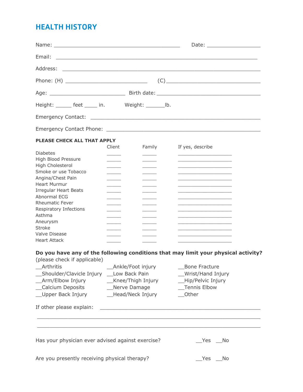## HEALTH HISTORY

|                                                            |                                                                                                                                                                                                                                      | Date: the contract of the contract of the contract of the contract of the contract of the contract of the contract of the contract of the contract of the contract of the contract of the contract of the contract of the cont |  |
|------------------------------------------------------------|--------------------------------------------------------------------------------------------------------------------------------------------------------------------------------------------------------------------------------------|--------------------------------------------------------------------------------------------------------------------------------------------------------------------------------------------------------------------------------|--|
| Email:                                                     | <u> 1990 - Johann Barn, amerikansk politiker (</u>                                                                                                                                                                                   |                                                                                                                                                                                                                                |  |
| Address:                                                   | <u> 1999 - John Harry Harry Harry Harry Harry Harry Harry Harry Harry Harry Harry Harry Harry Harry Harry Harry Harry Harry Harry Harry Harry Harry Harry Harry Harry Harry Harry Harry Harry Harry Harry Harry Harry Harry Harr</u> |                                                                                                                                                                                                                                |  |
|                                                            |                                                                                                                                                                                                                                      |                                                                                                                                                                                                                                |  |
|                                                            |                                                                                                                                                                                                                                      |                                                                                                                                                                                                                                |  |
| Height: $\rule{1em}{0.15mm}$ feet $\rule{1em}{0.15mm}$ in. | Weight: ___________lb.                                                                                                                                                                                                               |                                                                                                                                                                                                                                |  |
|                                                            |                                                                                                                                                                                                                                      |                                                                                                                                                                                                                                |  |
|                                                            |                                                                                                                                                                                                                                      |                                                                                                                                                                                                                                |  |
| <b>PLEASE CHECK ALL THAT APPLY</b>                         | Client                                                                                                                                                                                                                               |                                                                                                                                                                                                                                |  |
| <b>Diabetes</b>                                            | Family                                                                                                                                                                                                                               | If yes, describe                                                                                                                                                                                                               |  |
| High Blood Pressure                                        |                                                                                                                                                                                                                                      |                                                                                                                                                                                                                                |  |
| High Cholesterol                                           | $\sim$ $\sim$ $\sim$                                                                                                                                                                                                                 |                                                                                                                                                                                                                                |  |
| Smoke or use Tobacco                                       |                                                                                                                                                                                                                                      |                                                                                                                                                                                                                                |  |
| Angina/Chest Pain                                          |                                                                                                                                                                                                                                      |                                                                                                                                                                                                                                |  |
| <b>Heart Murmur</b>                                        |                                                                                                                                                                                                                                      |                                                                                                                                                                                                                                |  |
| <b>Irregular Heart Beats</b>                               |                                                                                                                                                                                                                                      |                                                                                                                                                                                                                                |  |
| Abnormal ECG                                               |                                                                                                                                                                                                                                      |                                                                                                                                                                                                                                |  |
| <b>Rheumatic Fever</b><br>Respiratory Infections           |                                                                                                                                                                                                                                      |                                                                                                                                                                                                                                |  |
| Asthma                                                     |                                                                                                                                                                                                                                      |                                                                                                                                                                                                                                |  |
| Aneurysm                                                   |                                                                                                                                                                                                                                      |                                                                                                                                                                                                                                |  |
| <b>Stroke</b>                                              |                                                                                                                                                                                                                                      |                                                                                                                                                                                                                                |  |
| Valve Disease                                              |                                                                                                                                                                                                                                      |                                                                                                                                                                                                                                |  |
| <b>Heart Attack</b>                                        |                                                                                                                                                                                                                                      |                                                                                                                                                                                                                                |  |
|                                                            |                                                                                                                                                                                                                                      | Do you have any of the following conditions that may limit your physical activity?                                                                                                                                             |  |
| (please check if applicable)                               |                                                                                                                                                                                                                                      |                                                                                                                                                                                                                                |  |
| Arthritis                                                  | Ankle/Foot injury                                                                                                                                                                                                                    | <b>Bone Fracture</b>                                                                                                                                                                                                           |  |
| Shoulder/Clavicle Injury __ Low Back Pain                  |                                                                                                                                                                                                                                      | Wrist/Hand Injury                                                                                                                                                                                                              |  |
| _Arm/Elbow Injury                                          | __Knee/Thigh Injury                                                                                                                                                                                                                  | _Hip/Pelvic Injury                                                                                                                                                                                                             |  |
| Calcium Deposits                                           | Nerve Damage                                                                                                                                                                                                                         | Tennis Elbow                                                                                                                                                                                                                   |  |
| _Upper Back Injury                                         | Head/Neck Injury                                                                                                                                                                                                                     | Other                                                                                                                                                                                                                          |  |
| If other please explain:                                   |                                                                                                                                                                                                                                      |                                                                                                                                                                                                                                |  |
| Has your physician ever advised against exercise?          |                                                                                                                                                                                                                                      | ___Yes ____No                                                                                                                                                                                                                  |  |
|                                                            |                                                                                                                                                                                                                                      |                                                                                                                                                                                                                                |  |
| Are you presently receiving physical therapy?              |                                                                                                                                                                                                                                      | Yes<br>No                                                                                                                                                                                                                      |  |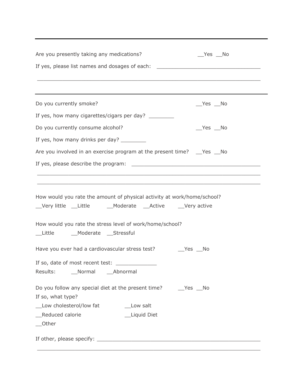| Are you presently taking any medications?<br>$Yes$ No                                                                                            |  |  |  |  |  |  |
|--------------------------------------------------------------------------------------------------------------------------------------------------|--|--|--|--|--|--|
| If yes, please list names and dosages of each: _________________________________                                                                 |  |  |  |  |  |  |
|                                                                                                                                                  |  |  |  |  |  |  |
|                                                                                                                                                  |  |  |  |  |  |  |
| Do you currently smoke?<br>$Yes$ No                                                                                                              |  |  |  |  |  |  |
| If yes, how many cigarettes/cigars per day? __________                                                                                           |  |  |  |  |  |  |
| Do you currently consume alcohol?<br>$Yes$ No                                                                                                    |  |  |  |  |  |  |
| If yes, how many drinks per day? ___________                                                                                                     |  |  |  |  |  |  |
| Are you involved in an exercise program at the present time? __ Yes __ No                                                                        |  |  |  |  |  |  |
|                                                                                                                                                  |  |  |  |  |  |  |
|                                                                                                                                                  |  |  |  |  |  |  |
| ,我们也不能会在这里,我们的人们就会在这里,我们的人们就会在这里,我们的人们就会在这里,我们的人们就会在这里,我们的人们就会在这里,我们的人们就会在这里,我们的                                                                 |  |  |  |  |  |  |
| How would you rate the amount of physical activity at work/home/school?<br>__Very little __Little _________Moderate ____Active ______Very active |  |  |  |  |  |  |
| How would you rate the stress level of work/home/school?<br>__Little  ____Moderate  ___Stressful                                                 |  |  |  |  |  |  |
| Have you ever had a cardiovascular stress test? __________________________________                                                               |  |  |  |  |  |  |
| If so, date of most recent test:<br>Results:<br>Normal Abnormal                                                                                  |  |  |  |  |  |  |
| If so, what type?<br>__Low cholesterol/low fat<br>__Low salt<br>_Reduced calorie<br>_Liquid Diet<br>__Other                                      |  |  |  |  |  |  |
|                                                                                                                                                  |  |  |  |  |  |  |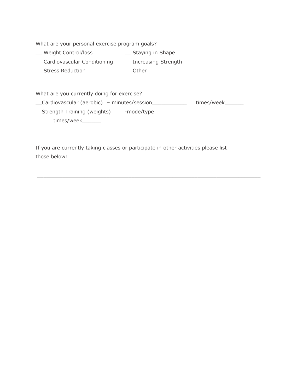What are your personal exercise program goals?

- \_\_ Weight Control/loss \_\_ Staying in Shape
- \_\_ Cardiovascular Conditioning \_\_ Increasing Strength
- \_\_ Stress Reduction \_\_ Other

What are you currently doing for exercise?

\_\_Cardiovascular (aerobic) – minutes/session\_\_\_\_\_\_\_\_\_\_\_ times/week\_\_\_\_\_\_

\_\_Strength Training (weights) -mode/type\_\_\_\_\_\_\_\_\_\_\_\_\_\_\_\_\_\_\_\_\_ times/week\_\_\_\_\_\_\_

 $\_$  , and the state of the state of the state of the state of the state of the state of the state of the state of the state of the state of the state of the state of the state of the state of the state of the state of the  $\_$  , and the state of the state of the state of the state of the state of the state of the state of the state of the state of the state of the state of the state of the state of the state of the state of the state of the  $\_$  , and the state of the state of the state of the state of the state of the state of the state of the state of the state of the state of the state of the state of the state of the state of the state of the state of the

If you are currently taking classes or participate in other activities please list those below: \_\_\_\_\_\_\_\_\_\_\_\_\_\_\_\_\_\_\_\_\_\_\_\_\_\_\_\_\_\_\_\_\_\_\_\_\_\_\_\_\_\_\_\_\_\_\_\_\_\_\_\_\_\_\_\_\_\_\_\_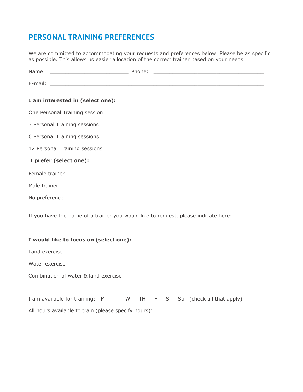### PERSONAL TRAINING PREFERENCES

We are committed to accommodating your requests and preferences below. Please be as specific as possible. This allows us easier allocation of the correct trainer based on your needs.

| I am interested in (select one): |  |
|----------------------------------|--|
| One Personal Training session    |  |
| 3 Personal Training sessions     |  |
| 6 Personal Training sessions     |  |
| 12 Personal Training sessions    |  |
| I prefer (select one):           |  |
| Female trainer                   |  |
| Male trainer                     |  |
| No preference                    |  |
|                                  |  |

If you have the name of a trainer you would like to request, please indicate here:

 $\_$  , and the state of the state of the state of the state of the state of the state of the state of the state of the state of the state of the state of the state of the state of the state of the state of the state of the

|  |  |  |  |  |  | I would like to focus on (select one): |  |
|--|--|--|--|--|--|----------------------------------------|--|
|--|--|--|--|--|--|----------------------------------------|--|

Land exercise

Water exercise

Combination of water & land exercise \_\_\_\_\_\_

|                                                      |  |  |  | I am available for training: M T W TH F S Sun (check all that apply) |
|------------------------------------------------------|--|--|--|----------------------------------------------------------------------|
| All hours available to train (please specify hours): |  |  |  |                                                                      |